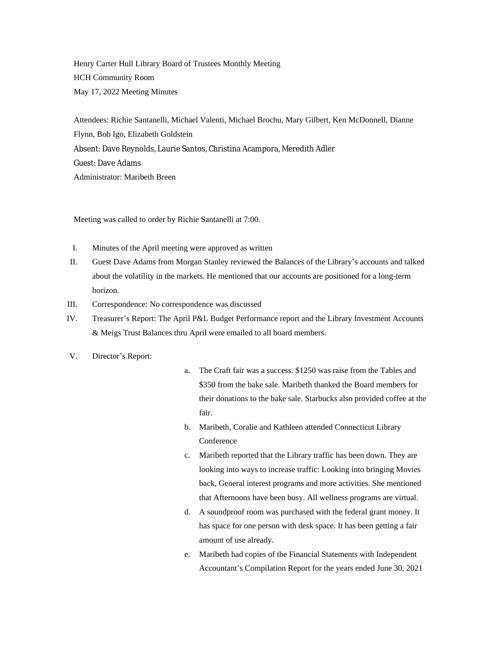Henry Carter Hull Library Board of Trustees Monthly Meeting HCH Community Room May 17, 2022 Meeting Minutes

Attendees: Richie Santanelli, Michael Valenti, Michael Brochu, Mary Gilbert, Ken McDonnell, Dianne Flynn, Bob Igo, Elizabeth Goldstein Absent: Dave Reynolds, Laurie Santos, Christina Acampora, Meredith Adler Guest: Dave Adams Administrator: Maribeth Breen

Meeting was called to order by Richie Santanelli at 7:00.

- I. Minutes of the April meeting were approved as written
- II. Guest Dave Adams from Morgan Stanley reviewed the Balances of the Library's accounts and talked about the volatility in the markets. He mentioned that our accounts are positioned for a long-term horizon.
- III. Correspondence: No correspondence was discussed
- IV. Treasurer's Report: The April P&L Budget Performance report and the Library Investment Accounts & Meigs Trust Balances thru April were emailed to all board members.
- V. Director's Report:
- a. The Craft fair was a success. \$1250 was raise from the Tables and \$350 from the bake sale. Maribeth thanked the Board members for their donations to the bake sale. Starbucks also provided coffee at the fair.
- b. Maribeth, Coralie and Kathleen attended Connecticut Library Conference
- c. Maribeth reported that the Library traffic has been down. They are looking into ways to increase traffic: Looking into bringing Movies back, General interest programs and more activities. She mentioned that Afternoons have been busy. All wellness programs are virtual.
- d. A soundproof room was purchased with the federal grant money. It has space for one person with desk space. It has been getting a fair amount of use already.
- e. Maribeth had copies of the Financial Statements with Independent Accountant's Compilation Report for the years ended June 30, 2021